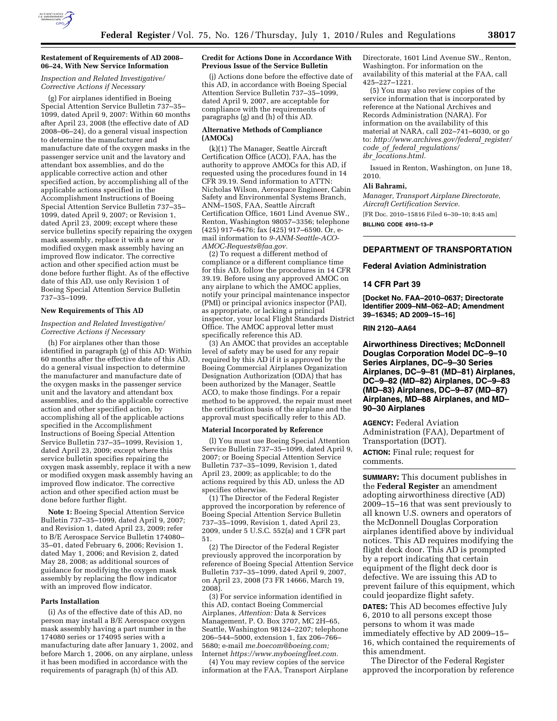

# *Inspection and Related Investigative/ Corrective Actions if Necessary*

(g) For airplanes identified in Boeing Special Attention Service Bulletin 737–35– 1099, dated April 9, 2007: Within 60 months after April 23, 2008 (the effective date of AD 2008–06–24), do a general visual inspection to determine the manufacturer and manufacture date of the oxygen masks in the passenger service unit and the lavatory and attendant box assemblies, and do the applicable corrective action and other specified action, by accomplishing all of the applicable actions specified in the Accomplishment Instructions of Boeing Special Attention Service Bulletin 737–35– 1099, dated April 9, 2007; or Revision 1, dated April 23, 2009; except where these service bulletins specify repairing the oxygen mask assembly, replace it with a new or modified oxygen mask assembly having an improved flow indicator. The corrective action and other specified action must be done before further flight. As of the effective date of this AD, use only Revision 1 of Boeing Special Attention Service Bulletin 737–35–1099.

## **New Requirements of This AD**

*Inspection and Related Investigative/ Corrective Actions if Necessary* 

(h) For airplanes other than those identified in paragraph (g) of this AD: Within 60 months after the effective date of this AD, do a general visual inspection to determine the manufacturer and manufacture date of the oxygen masks in the passenger service unit and the lavatory and attendant box assemblies, and do the applicable corrective action and other specified action, by accomplishing all of the applicable actions specified in the Accomplishment Instructions of Boeing Special Attention Service Bulletin 737–35–1099, Revision 1, dated April 23, 2009; except where this service bulletin specifies repairing the oxygen mask assembly, replace it with a new or modified oxygen mask assembly having an improved flow indicator. The corrective action and other specified action must be done before further flight.

**Note 1:** Boeing Special Attention Service Bulletin 737–35–1099, dated April 9, 2007; and Revision 1, dated April 23, 2009; refer to B/E Aerospace Service Bulletin 174080– 35–01, dated February 6, 2006; Revision 1, dated May 1, 2006; and Revision 2, dated May 28, 2008; as additional sources of guidance for modifying the oxygen mask assembly by replacing the flow indicator with an improved flow indicator.

## **Parts Installation**

(i) As of the effective date of this AD, no person may install a B/E Aerospace oxygen mask assembly having a part number in the 174080 series or 174095 series with a manufacturing date after January 1, 2002, and before March 1, 2006, on any airplane, unless it has been modified in accordance with the requirements of paragraph (h) of this AD.

## **Credit for Actions Done in Accordance With Previous Issue of the Service Bulletin**

(j) Actions done before the effective date of this AD, in accordance with Boeing Special Attention Service Bulletin 737–35–1099, dated April 9, 2007, are acceptable for compliance with the requirements of paragraphs (g) and (h) of this AD.

## **Alternative Methods of Compliance (AMOCs)**

(k)(1) The Manager, Seattle Aircraft Certification Office (ACO), FAA, has the authority to approve AMOCs for this AD, if requested using the procedures found in 14 CFR 39.19. Send information to ATTN: Nicholas Wilson, Aerospace Engineer, Cabin Safety and Environmental Systems Branch, ANM–150S, FAA, Seattle Aircraft Certification Office, 1601 Lind Avenue SW., Renton, Washington 98057–3356; telephone (425) 917–6476; fax (425) 917–6590. Or, email information to *9-ANM-Seattle-ACO-AMOC-Requests@faa.gov.* 

(2) To request a different method of compliance or a different compliance time for this AD, follow the procedures in 14 CFR 39.19. Before using any approved AMOC on any airplane to which the AMOC applies, notify your principal maintenance inspector (PMI) or principal avionics inspector (PAI), as appropriate, or lacking a principal inspector, your local Flight Standards District Office. The AMOC approval letter must specifically reference this AD.

(3) An AMOC that provides an acceptable level of safety may be used for any repair required by this AD if it is approved by the Boeing Commercial Airplanes Organization Designation Authorization (ODA) that has been authorized by the Manager, Seattle ACO, to make those findings. For a repair method to be approved, the repair must meet the certification basis of the airplane and the approval must specifically refer to this AD.

# **Material Incorporated by Reference**

(l) You must use Boeing Special Attention Service Bulletin 737-35-1099, dated April 9, 2007; or Boeing Special Attention Service Bulletin 737–35–1099, Revision 1, dated April 23, 2009; as applicable; to do the actions required by this AD, unless the AD specifies otherwise.

(1) The Director of the Federal Register approved the incorporation by reference of Boeing Special Attention Service Bulletin 737–35–1099, Revision 1, dated April 23, 2009, under 5 U.S.C. 552(a) and 1 CFR part 51.

(2) The Director of the Federal Register previously approved the incorporation by reference of Boeing Special Attention Service Bulletin 737–35–1099, dated April 9, 2007, on April 23, 2008 (73 FR 14666, March 19, 2008).

(3) For service information identified in this AD, contact Boeing Commercial Airplanes, *Attention:* Data & Services Management, P. O. Box 3707, MC 2H–65, Seattle, Washington 98124–2207; telephone 206–544–5000, extension 1, fax 206–766– 5680; e-mail *me.boecom@boeing.com;*  Internet *https://www.myboeingfleet.com.* 

(4) You may review copies of the service information at the FAA, Transport Airplane Directorate, 1601 Lind Avenue SW., Renton, Washington. For information on the availability of this material at the FAA, call 425–227–1221.

(5) You may also review copies of the service information that is incorporated by reference at the National Archives and Records Administration (NARA). For information on the availability of this material at NARA, call 202–741–6030, or go to: *http://www.archives.gov/federal*\_*register/ code*\_*of*\_*federal*\_*regulations/ ibr*\_*locations.html.* 

Issued in Renton, Washington, on June 18, 2010.

## **Ali Bahrami,**

*Manager, Transport Airplane Directorate, Aircraft Certification Service.* 

[FR Doc. 2010–15816 Filed 6–30–10; 8:45 am]

**BILLING CODE 4910–13–P** 

# **DEPARTMENT OF TRANSPORTATION**

## **Federal Aviation Administration**

## **14 CFR Part 39**

**[Docket No. FAA–2010–0637; Directorate Identifier 2009–NM–062–AD; Amendment 39–16345; AD 2009–15–16]** 

## **RIN 2120–AA64**

**Airworthiness Directives; McDonnell Douglas Corporation Model DC–9–10 Series Airplanes, DC–9–30 Series Airplanes, DC–9–81 (MD–81) Airplanes, DC–9–82 (MD–82) Airplanes, DC–9–83 (MD–83) Airplanes, DC–9–87 (MD–87) Airplanes, MD–88 Airplanes, and MD– 90–30 Airplanes** 

**AGENCY:** Federal Aviation Administration (FAA), Department of Transportation (DOT). **ACTION:** Final rule; request for comments.

**SUMMARY:** This document publishes in the **Federal Register** an amendment adopting airworthiness directive (AD) 2009–15–16 that was sent previously to all known U.S. owners and operators of the McDonnell Douglas Corporation airplanes identified above by individual notices. This AD requires modifying the flight deck door. This AD is prompted by a report indicating that certain equipment of the flight deck door is defective. We are issuing this AD to prevent failure of this equipment, which could jeopardize flight safety.

**DATES:** This AD becomes effective July 6, 2010 to all persons except those persons to whom it was made immediately effective by AD 2009–15– 16, which contained the requirements of this amendment.

The Director of the Federal Register approved the incorporation by reference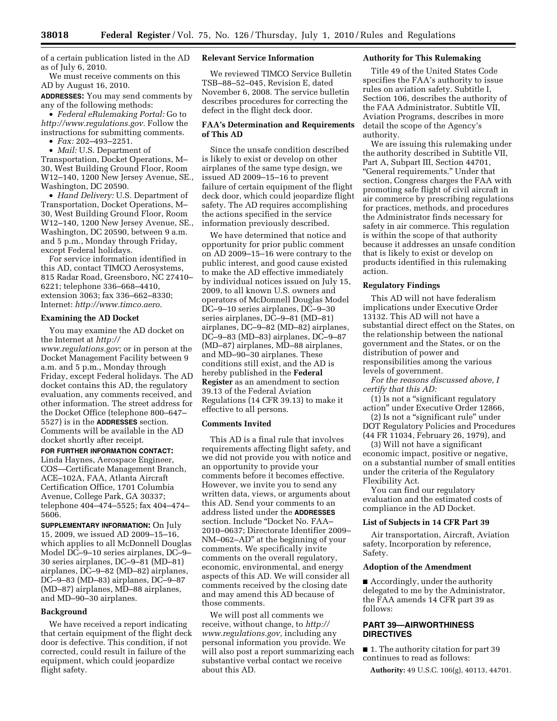of a certain publication listed in the AD as of July 6, 2010.

We must receive comments on this AD by August 16, 2010.

**ADDRESSES:** You may send comments by any of the following methods:

• *Federal eRulemaking Portal:* Go to *http://www.regulations.gov.* Follow the instructions for submitting comments.

• *Fax:* 202–493–2251.

• *Mail:* U.S. Department of Transportation, Docket Operations, M– 30, West Building Ground Floor, Room W12–140, 1200 New Jersey Avenue, SE., Washington, DC 20590.

• *Hand Delivery:* U.S. Department of Transportation, Docket Operations, M– 30, West Building Ground Floor, Room W12–140, 1200 New Jersey Avenue, SE., Washington, DC 20590, between 9 a.m. and 5 p.m., Monday through Friday, except Federal holidays.

For service information identified in this AD, contact TIMCO Aerosystems, 815 Radar Road, Greensboro, NC 27410– 6221; telephone 336–668–4410, extension 3063; fax 336–662–8330; Internet: *http://www.timco.aero.* 

## **Examining the AD Docket**

You may examine the AD docket on the Internet at *http:// www.regulations.gov*; or in person at the Docket Management Facility between 9 a.m. and 5 p.m., Monday through Friday, except Federal holidays. The AD docket contains this AD, the regulatory evaluation, any comments received, and other information. The street address for the Docket Office (telephone 800–647– 5527) is in the **ADDRESSES** section. Comments will be available in the AD docket shortly after receipt.

**FOR FURTHER INFORMATION CONTACT:**  Linda Haynes, Aerospace Engineer, COS—Certificate Management Branch, ACE–102A, FAA, Atlanta Aircraft Certification Office, 1701 Columbia Avenue, College Park, GA 30337; telephone 404–474–5525; fax 404–474– 5606.

**SUPPLEMENTARY INFORMATION:** On July 15, 2009, we issued AD 2009–15–16, which applies to all McDonnell Douglas Model DC–9–10 series airplanes, DC–9– 30 series airplanes, DC–9–81 (MD–81) airplanes, DC–9–82 (MD–82) airplanes, DC–9–83 (MD–83) airplanes, DC–9–87 (MD–87) airplanes, MD–88 airplanes, and MD–90–30 airplanes.

#### **Background**

We have received a report indicating that certain equipment of the flight deck door is defective. This condition, if not corrected, could result in failure of the equipment, which could jeopardize flight safety.

# **Relevant Service Information**

We reviewed TIMCO Service Bulletin TSB–88–52–045, Revision E, dated November 6, 2008. The service bulletin describes procedures for correcting the defect in the flight deck door.

# **FAA's Determination and Requirements of This AD**

Since the unsafe condition described is likely to exist or develop on other airplanes of the same type design, we issued AD 2009–15–16 to prevent failure of certain equipment of the flight deck door, which could jeopardize flight safety. The AD requires accomplishing the actions specified in the service information previously described.

We have determined that notice and opportunity for prior public comment on AD 2009–15–16 were contrary to the public interest, and good cause existed to make the AD effective immediately by individual notices issued on July 15, 2009, to all known U.S. owners and operators of McDonnell Douglas Model DC–9–10 series airplanes, DC–9–30 series airplanes, DC–9–81 (MD–81) airplanes, DC–9–82 (MD–82) airplanes, DC–9–83 (MD–83) airplanes, DC–9–87 (MD–87) airplanes, MD–88 airplanes, and MD–90–30 airplanes. These conditions still exist, and the AD is hereby published in the **Federal Register** as an amendment to section 39.13 of the Federal Aviation Regulations (14 CFR 39.13) to make it effective to all persons.

# **Comments Invited**

This AD is a final rule that involves requirements affecting flight safety, and we did not provide you with notice and an opportunity to provide your comments before it becomes effective. However, we invite you to send any written data, views, or arguments about this AD. Send your comments to an address listed under the **ADDRESSES** section. Include ''Docket No. FAA– 2010–0637; Directorate Identifier 2009– NM–062–AD'' at the beginning of your comments. We specifically invite comments on the overall regulatory, economic, environmental, and energy aspects of this AD. We will consider all comments received by the closing date and may amend this AD because of those comments.

We will post all comments we receive, without change, to *http:// www.regulations.gov,* including any personal information you provide. We will also post a report summarizing each substantive verbal contact we receive about this AD.

## **Authority for This Rulemaking**

Title 49 of the United States Code specifies the FAA's authority to issue rules on aviation safety. Subtitle I, Section 106, describes the authority of the FAA Administrator. Subtitle VII, Aviation Programs, describes in more detail the scope of the Agency's authority.

We are issuing this rulemaking under the authority described in Subtitle VII, Part A, Subpart III, Section 44701, ''General requirements.'' Under that section, Congress charges the FAA with promoting safe flight of civil aircraft in air commerce by prescribing regulations for practices, methods, and procedures the Administrator finds necessary for safety in air commerce. This regulation is within the scope of that authority because it addresses an unsafe condition that is likely to exist or develop on products identified in this rulemaking action.

## **Regulatory Findings**

This AD will not have federalism implications under Executive Order 13132. This AD will not have a substantial direct effect on the States, on the relationship between the national government and the States, or on the distribution of power and responsibilities among the various levels of government.

*For the reasons discussed above, I certify that this AD:* 

(1) Is not a ''significant regulatory action'' under Executive Order 12866,

(2) Is not a ''significant rule'' under DOT Regulatory Policies and Procedures (44 FR 11034, February 26, 1979), and

(3) Will not have a significant economic impact, positive or negative, on a substantial number of small entities under the criteria of the Regulatory Flexibility Act.

You can find our regulatory evaluation and the estimated costs of compliance in the AD Docket.

#### **List of Subjects in 14 CFR Part 39**

Air transportation, Aircraft, Aviation safety, Incorporation by reference, Safety.

## **Adoption of the Amendment**

■ Accordingly, under the authority delegated to me by the Administrator, the FAA amends 14 CFR part 39 as follows:

# **PART 39—AIRWORTHINESS DIRECTIVES**

■ 1. The authority citation for part 39 continues to read as follows:

**Authority:** 49 U.S.C. 106(g), 40113, 44701.